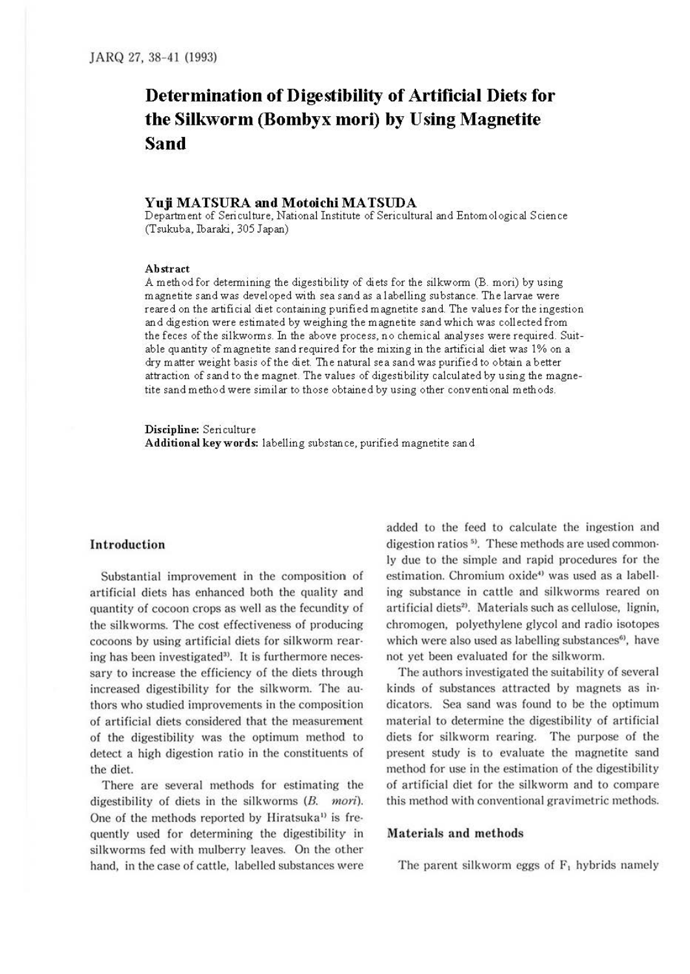# **Determination of Digestibility of Artificial Diets for the Silkworm (Bombyx mori) by Using Magnetite Sand**

## **Yuji MATSURA and MotoichiMATSUDA**

Department of Seri culture, National Institute of Sericultural and Entomological Science (Tsukuba, Ibaraki, 305 Japan)

#### **Abstract**

A method for determining the digestibility of diets for the silkworm (B. mori) by using magnetite sand was developed with sea sand as a labelling substance. The larvae were reared on the artificial diet containing purified magnetite sand. The values for the ingestion and digestion were estimated by weighing the magnetite sand which was collected from the feces of the silkworms. In the above process, no chemical analyses were required. Suitable quantity of magnetite sand required for the mixing in the artificial diet was 1% on a dry matter weight basis of the diet. The natural sea sand was purified to obtain a better attraction of sand to the magnet. The values of digestibility calculated by using the magnetite sand method were similar to those obtained by using other conventional methods.

**Discipline:** Sericulture **Additional keywords:** labelling substance, purified magnetite sand

## **Introduction**

Substantial improvement in the composition of artificial diets has enhanced both the quality and quantity of cocoon crops as well as the fecundity of the silkworms. The cost effectiveness of producing cocoons by using artificial diets for silkworm rearing has been investigated». It is furthermore neces· sary to increase the efficiency of the diets through increased digestibility for the silkworm. The au· thors who studied improvements in the composition of artificial diets considered that the measurement of the digestibility was the optimum method to detect a high digestion ratio in the constituents of the diet.

There are several methods for estimating the digestibility of diets in the silkworms (B. *mori).*  One of the methods reported by Hiratsuka<sup>1)</sup> is frequently used for determining the digestibility in silkworms fed with mulberry leaves. On the other hand, in the case of cattle, labelled substances were

added to the feed to calculate the ingestion and digestion ratios <sup>5)</sup>. These methods are used commonly due to the simple and rapid procedures for the estimation. Chromium oxide<sup>4)</sup> was used as a labelling substance in cattle and silkworms reared on artificial diets<sup>2)</sup>. Materials such as cellulose, lignin, chromogen, polyethylene glycol and radio isotopes which were also used as labelling substances<sup>6)</sup>, have not yet been evaluated for the silkworm.

The authors investigated the suitability of several kinds of substances attracted by magnets as in· dicators. Sea sand was found to be the optimum material to determine the digestibility of artificial diets for silkworm rearing. The purpose of the present study is to evaluate the magnetite sand method for use in the estimation of the digestibility of artificial diet for the silkworm and to compare this method with conventional gravimetric methods.

## **Materials and methods**

The parent silkworm eggs of  $F_1$  hybrids namely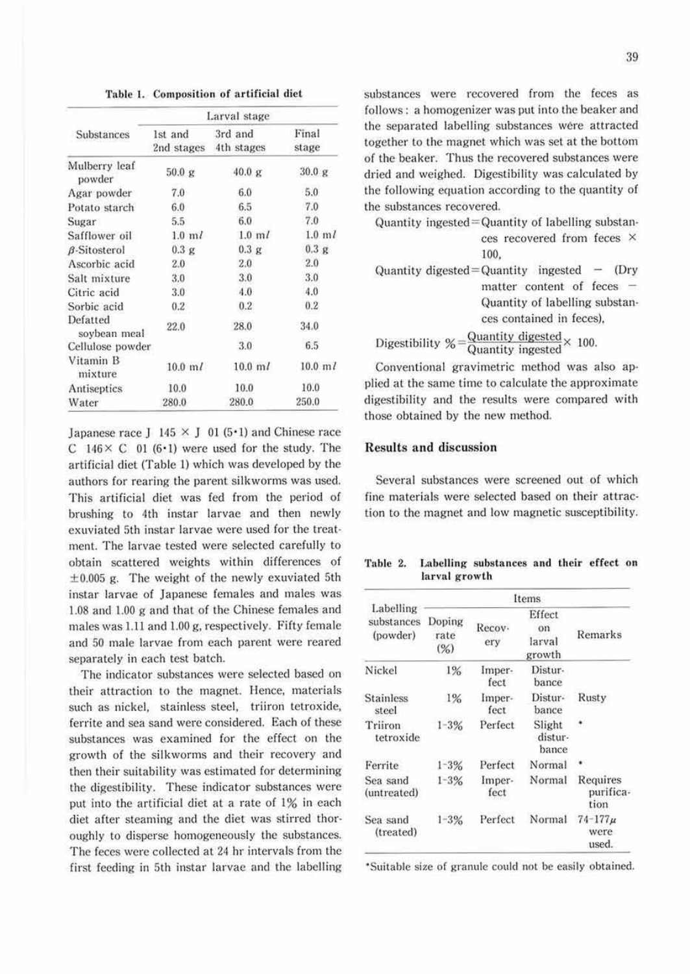Table 1. Composition of artificial diet

|                          | Larval stage         |                                  |                      |  |  |
|--------------------------|----------------------|----------------------------------|----------------------|--|--|
| Substances               | 1st and              | 3rd and<br>2nd stages 4th stages | Final<br>stage       |  |  |
| Mulberry leaf<br>powder  | 50.0 g               | 40.0 g                           | 30.0 g               |  |  |
| Agar powder              | 7.0                  | 6.0                              | 5.0                  |  |  |
| Potato starch            | $6.0^{\circ}$        | 6.5                              | 7.0                  |  |  |
| Sugar                    | 5.5                  | 6.0                              | 7.0                  |  |  |
| Safflower oil            | $1.0 \text{ m}$      | $1.0 \text{ m}$                  | $1.0 \text{ m}$      |  |  |
| $\beta$ -Sitosterol      | 0.3 g                | 0.3 g                            | 0.3 g                |  |  |
| Ascorbic acid            | 2.0                  | 2.0                              | 2.0                  |  |  |
| Salt mixture             | 3.0                  | 3.0                              | 3.0                  |  |  |
| Citric acid              | 3.0                  | 4.0                              | 4.0                  |  |  |
| Sorbic acid              | $0.2^{\circ}$        | 0.2                              | 0.2                  |  |  |
| Defatted<br>soybean meal | 22.0                 | 28.0                             | 34.0                 |  |  |
| Cellulose powder         |                      | 3.0                              | 6.5                  |  |  |
| Vitamin B<br>mixture     | $10.0 \; \mathrm{m}$ | $10.0 \; \mathrm{m}$             | $10.0 \; \mathrm{m}$ |  |  |
| Antiseptics              | 10.0                 | 10.0                             | 10.0                 |  |  |
| Water                    | 280.0                | 280.0                            | 250.0                |  |  |

Japanese race J 145  $\times$  J 01 (5 $\cdot$ 1) and Chinese race C  $146 \times C$  01 (6.1) were used for the study. The artificial diet (Table l) which was developed by the authors for rearing the parent silkworms was used. This artificial diet was fed from the period of brushing to 4th instar larvae and then newly exuviated 5th instar larvae were used for the treatment. The larvae tested were selected carefully to obtain scattered weights within differences of  $\pm 0.005$  g. The weight of the newly exuviated 5th instar larvae of Japanese females and males was  $1.08$  and  $1.00$  g and that of the Chinese females and males was  $1.11$  and  $1.00$  g, respectively. Fifty female and 50 male larvae from each parent were reared separately in each test batch.

The indicator substances were selected based on their attraction to the magnet. Hence, materials such as nickel, stainless steel, triiron tetroxide, ferrite and sea sand were considered. Each of these substances was examined for the effect on the growth of the silkworms and their recovery and then their suitability was estimated for determining the digestibility. These indicator substances were put into the artificial diet at a rate of 1% in each diet after steaming and the diet was stirred thor· oughly to disperse homogeneously the substances. The feces were collected at. 24 hr intervals from the first feeding in 5th instar larvae and the labelling substances were recovered from the feces as follows: a homogenizer was put into the beaker and the separated labelling substances were attracted together to the magnet which was set at the bottom of the beaker. Thus the recovered substances were dried and weighed. Digestibility was calculated by the following equation according to the quantity of the substances recovered.

| Quantity ingested = Quantity of labelling substan-<br>ces recovered from feces ×<br>100. |
|------------------------------------------------------------------------------------------|
| Quantity digested = Quantity ingested $-$ (Dry<br>matter content of feces -              |
| Quantity of labelling substan-<br>ces contained in feces),                               |
| Digestibility % = $\frac{$ Quantity digested × 100.                                      |

Conventional gravimetric method was also applied at the same time to calculate the approximate digestibility and the results were compared with those obtained by the new method.

### Results and discussion

Several substances were screened out of which fine materials were selected based on their attraction to the magnet and low magnetic susceptibility.

| Table 2. |               | Labelling substances and their effect on |  |  |
|----------|---------------|------------------------------------------|--|--|
|          | larval growth |                                          |  |  |

|                                     | Items                 |                |                                  |                                |  |
|-------------------------------------|-----------------------|----------------|----------------------------------|--------------------------------|--|
| Labelling<br>substances<br>(powder) | Doping<br>rate<br>(%) | Recov-<br>ery  | Effect<br>on<br>larval<br>growth | Remarks                        |  |
| Nickel                              | 1%                    | Imper-<br>fect | Distur-<br>bance                 |                                |  |
| <b>Stainless</b><br>steel           | $1\%$                 | Imper-<br>fect | Distur-<br>bance                 | Rusty                          |  |
| Triiron<br>tetroxide                | $1 - 3%$              | Perfect        | Slight<br>distur-<br>bance       |                                |  |
| Ferrite                             | $1 - 3%$              | Perfect        | Normal                           |                                |  |
| Sea sand<br>(untreated)             | $1 - 3%$              | Imper-<br>fect | Normal                           | Requires<br>purifica-<br>tion  |  |
| Sea sand<br>(treated)               | Perfect<br>$1 - 3%$   |                | Normal                           | $74 - 177\mu$<br>were<br>used. |  |

·Suitable size of granule could not be easily obtained.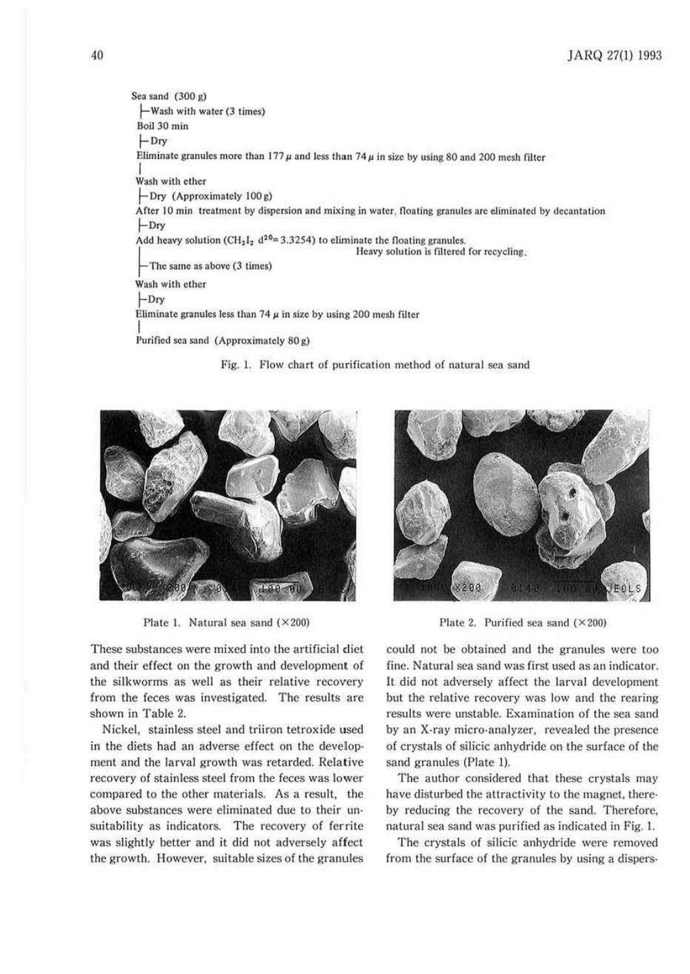Sea sand  $(300 g)$ -Wash with water (3 times) Boil 30 min I-Dry Eliminate granules more than  $177 \mu$  and less than  $74 \mu$  in size by using 80 and 200 mesh filter I Wash with ether ~ Ory (Approximately 100 &) After 10 min treatment by dispersion and mixing in water, floating granules are eliminated by decantation  $-$ Dry Add heavy solution (CH<sub>2</sub>1<sub>2</sub> d<sup>20</sup>= 3.3254) to eliminate the floating granules.<br>Heavy solution is filtered for recycling, - The same as above (3 times) Wash with ether ~Ory Eliminate granules less than  $74 \mu$  in size by using 200 mesh filter I Purified sea sand (Approximately 80 g)

Fig. 1. Flow chart of purification method of natural sea sand



Plate 1. Natural sea sand  $(\times 200)$ 

These substances were mixed into the artificial diel and their effect on the growth and development of the silkworms as well as their relative recovery from the feces was investigated. The results are shown in Table 2.

Nickel, stainless steel and triiron tetroxide used in the diets had an adverse effect on the development and the larval growth was retarded. Relative recovery of stainless steel from the feces was lower compared to the other materials. As a result, the above substances were eliminated due to their un· suitability as indicators. The recovery of ferrite was slightly better and it did not adversely affect the growth. However, suitable sizes of the granules



Plate 2. Purified sea sand  $(\times 200)$ 

could not be obtained and the granules were too fine. Natural sea sand was first used as an indicator. It did not adversely affect the larval development but the relative recovery was low and the rearing results were unstable. Examination of the sea sand by an X-ray micro,analyzer, revealed the presence of crystals of silicic anhydride on the surface of the sand granules (Plate I).

The author considered that these crystals may have disturbed the attractivity to the magnet, thereby reducing the recovery of the sand. Therefore, natural sea sand was purified as indicated in Fig. 1.

The crystals of silicic anhydride were removed from the surface of the granules by using a dispers-